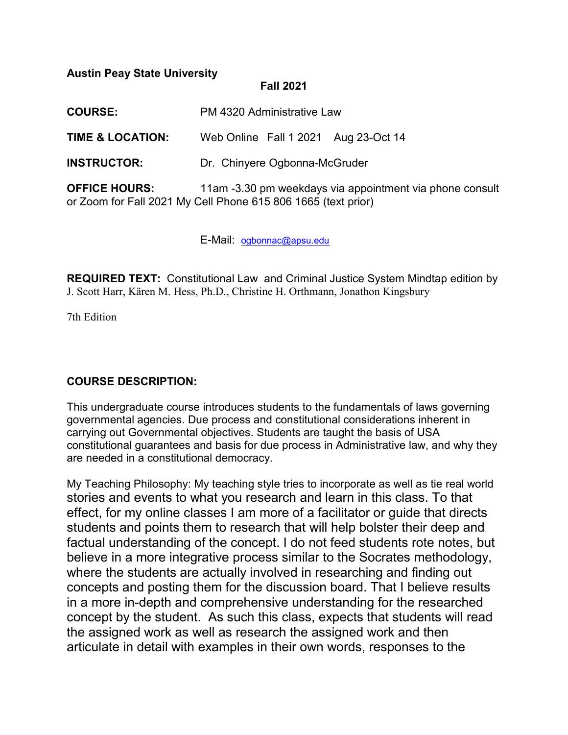#### **Austin Peay State University**

#### **Fall 2021**

**COURSE:** PM 4320 Administrative Law

**TIME & LOCATION:** Web Online Fall 1 2021 Aug 23-Oct 14

**INSTRUCTOR:** Dr. Chinyere Ogbonna-McGruder

**OFFICE HOURS:** 11am -3.30 pm weekdays via appointment via phone consult or Zoom for Fall 2021 My Cell Phone 615 806 1665 (text prior)

E-Mail: [ogbonnac@apsu.edu](mailto:ogbonnac@apsu.edu)

**REQUIRED TEXT:** Constitutional Law and Criminal Justice System Mindtap edition by J. Scott Harr, Kären M. Hess, Ph.D., Christine H. Orthmann, Jonathon Kingsbury

7th Edition

### **COURSE DESCRIPTION:**

This undergraduate course introduces students to the fundamentals of laws governing governmental agencies. Due process and constitutional considerations inherent in carrying out Governmental objectives. Students are taught the basis of USA constitutional guarantees and basis for due process in Administrative law, and why they are needed in a constitutional democracy.

My Teaching Philosophy: My teaching style tries to incorporate as well as tie real world stories and events to what you research and learn in this class. To that effect, for my online classes I am more of a facilitator or guide that directs students and points them to research that will help bolster their deep and factual understanding of the concept. I do not feed students rote notes, but believe in a more integrative process similar to the Socrates methodology, where the students are actually involved in researching and finding out concepts and posting them for the discussion board. That I believe results in a more in-depth and comprehensive understanding for the researched concept by the student. As such this class, expects that students will read the assigned work as well as research the assigned work and then articulate in detail with examples in their own words, responses to the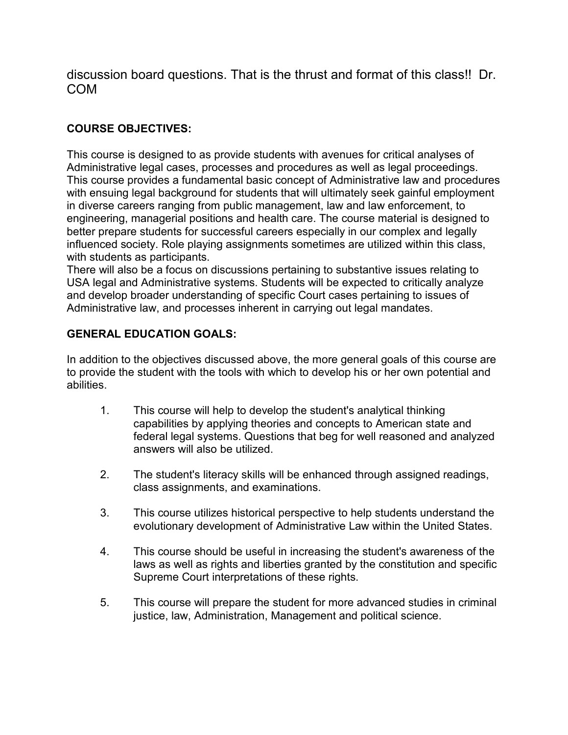discussion board questions. That is the thrust and format of this class!! Dr. COM

# **COURSE OBJECTIVES:**

This course is designed to as provide students with avenues for critical analyses of Administrative legal cases, processes and procedures as well as legal proceedings. This course provides a fundamental basic concept of Administrative law and procedures with ensuing legal background for students that will ultimately seek gainful employment in diverse careers ranging from public management, law and law enforcement, to engineering, managerial positions and health care. The course material is designed to better prepare students for successful careers especially in our complex and legally influenced society. Role playing assignments sometimes are utilized within this class, with students as participants.

There will also be a focus on discussions pertaining to substantive issues relating to USA legal and Administrative systems. Students will be expected to critically analyze and develop broader understanding of specific Court cases pertaining to issues of Administrative law, and processes inherent in carrying out legal mandates.

# **GENERAL EDUCATION GOALS:**

In addition to the objectives discussed above, the more general goals of this course are to provide the student with the tools with which to develop his or her own potential and abilities.

- 1. This course will help to develop the student's analytical thinking capabilities by applying theories and concepts to American state and federal legal systems. Questions that beg for well reasoned and analyzed answers will also be utilized.
- 2. The student's literacy skills will be enhanced through assigned readings, class assignments, and examinations.
- 3. This course utilizes historical perspective to help students understand the evolutionary development of Administrative Law within the United States.
- 4. This course should be useful in increasing the student's awareness of the laws as well as rights and liberties granted by the constitution and specific Supreme Court interpretations of these rights.
- 5. This course will prepare the student for more advanced studies in criminal justice, law, Administration, Management and political science.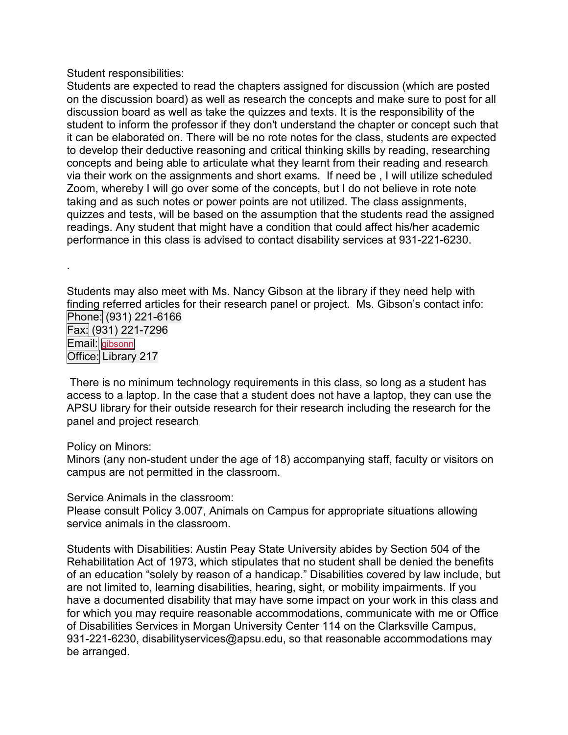Student responsibilities:

Students are expected to read the chapters assigned for discussion (which are posted on the discussion board) as well as research the concepts and make sure to post for all discussion board as well as take the quizzes and texts. It is the responsibility of the student to inform the professor if they don't understand the chapter or concept such that it can be elaborated on. There will be no rote notes for the class, students are expected to develop their deductive reasoning and critical thinking skills by reading, researching concepts and being able to articulate what they learnt from their reading and research via their work on the assignments and short exams. If need be , I will utilize scheduled Zoom, whereby I will go over some of the concepts, but I do not believe in rote note taking and as such notes or power points are not utilized. The class assignments, quizzes and tests, will be based on the assumption that the students read the assigned readings. Any student that might have a condition that could affect his/her academic performance in this class is advised to contact disability services at 931-221-6230.

Students may also meet with Ms. Nancy Gibson at the library if they need help with finding referred articles for their research panel or project. Ms. Gibson's contact info: Phone: (931) 221-6166 Fax: (931) 221-7296 Email: [gibsonn](mailto:gibsonn@apsu.edu) Office: Library 217

There is no minimum technology requirements in this class, so long as a student has access to a laptop. In the case that a student does not have a laptop, they can use the APSU library for their outside research for their research including the research for the panel and project research

#### Policy on Minors:

.

Minors (any non-student under the age of 18) accompanying staff, faculty or visitors on campus are not permitted in the classroom.

Service Animals in the classroom:

Please consult Policy 3.007, Animals on Campus for appropriate situations allowing service animals in the classroom.

Students with Disabilities: Austin Peay State University abides by Section 504 of the Rehabilitation Act of 1973, which stipulates that no student shall be denied the benefits of an education "solely by reason of a handicap." Disabilities covered by law include, but are not limited to, learning disabilities, hearing, sight, or mobility impairments. If you have a documented disability that may have some impact on your work in this class and for which you may require reasonable accommodations, communicate with me or Office of Disabilities Services in Morgan University Center 114 on the Clarksville Campus, 931-221-6230, disabilityservices@apsu.edu, so that reasonable accommodations may be arranged.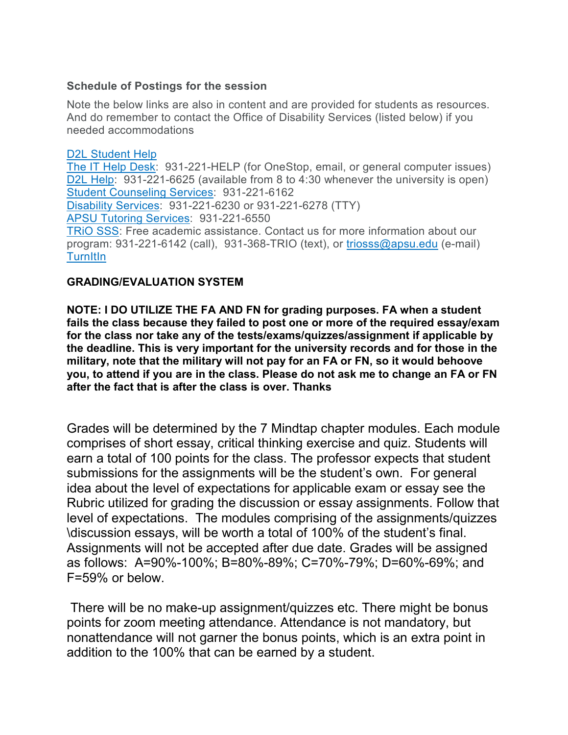#### **Schedule of Postings for the session**

Note the below links are also in content and are provided for students as resources. And do remember to contact the Office of Disability Services (listed below) if you needed accommodations

#### D2L [Student](http://www.apsu.edu/online/student-d2l-help) Help

The IT Help [Desk:](https://govstech.apsu.edu/) 931-221-HELP (for OneStop, email, or general computer issues) D2L [Help:](http://www.apsu.edu/online/technical-support/index.php) 931-221-6625 (available from 8 to 4:30 whenever the university is open) Student [Counseling Services:](http://www.apsu.edu/counseling/) 931-221-6162

[Disability](http://www.apsu.edu/disability/) Services: 931-221-6230 or 931-221-6278 (TTY)

APSU [Tutoring Services:](http://www.apsu.edu/asc/) 931-221-6550

TRIO SSS: Free academic assistance. Contact us for more information about our program: 931-221-6142 (call), 931-368-TRIO (text), or [triosss@apsu.edu](mailto:triosss@apsu.edu) (e-mail) **[TurnItIn](http://turnitin.com/static/index.php)** 

### **GRADING/EVALUATION SYSTEM**

**NOTE: I DO UTILIZE THE FA AND FN for grading purposes. FA when a student fails the class because they failed to post one or more of the required essay/exam for the class nor take any of the tests/exams/quizzes/assignment if applicable by the deadline. This is very important for the university records and for those in the military, note that the military will not pay for an FA or FN, so it would behoove you, to attend if you are in the class. Please do not ask me to change an FA or FN after the fact that is after the class is over. Thanks**

Grades will be determined by the 7 Mindtap chapter modules. Each module comprises of short essay, critical thinking exercise and quiz. Students will earn a total of 100 points for the class. The professor expects that student submissions for the assignments will be the student's own. For general idea about the level of expectations for applicable exam or essay see the Rubric utilized for grading the discussion or essay assignments. Follow that level of expectations. The modules comprising of the assignments/quizzes \discussion essays, will be worth a total of 100% of the student's final. Assignments will not be accepted after due date. Grades will be assigned as follows: A=90%-100%; B=80%-89%; C=70%-79%; D=60%-69%; and F=59% or below.

There will be no make-up assignment/quizzes etc. There might be bonus points for zoom meeting attendance. Attendance is not mandatory, but nonattendance will not garner the bonus points, which is an extra point in addition to the 100% that can be earned by a student.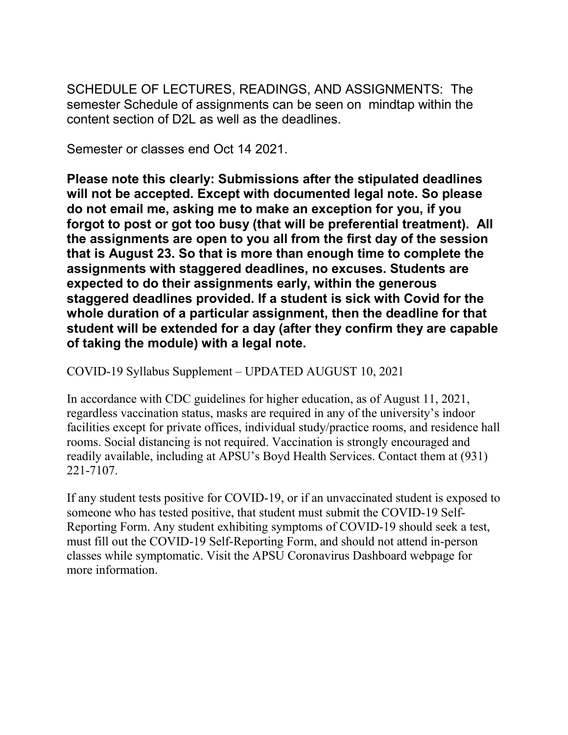SCHEDULE OF LECTURES, READINGS, AND ASSIGNMENTS: The semester Schedule of assignments can be seen on mindtap within the content section of D2L as well as the deadlines.

Semester or classes end Oct 14 2021.

**Please note this clearly: Submissions after the stipulated deadlines will not be accepted. Except with documented legal note. So please do not email me, asking me to make an exception for you, if you forgot to post or got too busy (that will be preferential treatment). All the assignments are open to you all from the first day of the session that is August 23. So that is more than enough time to complete the assignments with staggered deadlines, no excuses. Students are expected to do their assignments early, within the generous staggered deadlines provided. If a student is sick with Covid for the whole duration of a particular assignment, then the deadline for that student will be extended for a day (after they confirm they are capable of taking the module) with a legal note.** 

COVID-19 Syllabus Supplement – UPDATED AUGUST 10, 2021

In accordance with CDC guidelines for higher education, as of August 11, 2021, regardless vaccination status, masks are required in any of the university's indoor facilities except for private offices, individual study/practice rooms, and residence hall rooms. Social distancing is not required. Vaccination is strongly encouraged and readily available, including at APSU's Boyd Health Services. Contact them at (931) 221-7107.

If any student tests positive for COVID-19, or if an unvaccinated student is exposed to someone who has tested positive, that student must submit the COVID-19 Self-Reporting Form. Any student exhibiting symptoms of COVID-19 should seek a test, must fill out the COVID-19 Self-Reporting Form, and should not attend in-person classes while symptomatic. Visit the APSU Coronavirus Dashboard webpage for more information.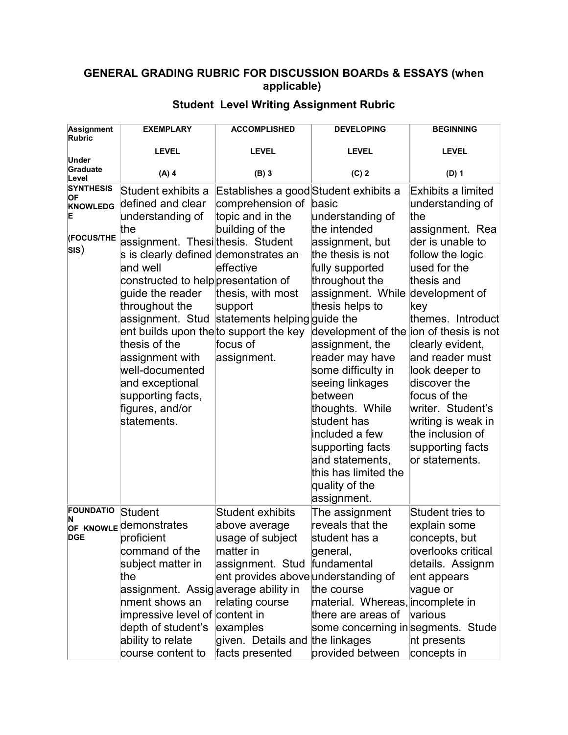# **GENERAL GRADING RUBRIC FOR DISCUSSION BOARDs & ESSAYS (when applicable)**

| Assignment<br><b>Rubric</b>                                                       | <b>EXEMPLARY</b>                                                                                                                                                                                                                                                                                                                                                                                                     | <b>ACCOMPLISHED</b>                                                                                                                                                                                                                   | <b>DEVELOPING</b>                                                                                                                                                                                                                                                                                                                                                                                             | <b>BEGINNING</b>                                                                                                                                                                                                                                                                                                                                                  |
|-----------------------------------------------------------------------------------|----------------------------------------------------------------------------------------------------------------------------------------------------------------------------------------------------------------------------------------------------------------------------------------------------------------------------------------------------------------------------------------------------------------------|---------------------------------------------------------------------------------------------------------------------------------------------------------------------------------------------------------------------------------------|---------------------------------------------------------------------------------------------------------------------------------------------------------------------------------------------------------------------------------------------------------------------------------------------------------------------------------------------------------------------------------------------------------------|-------------------------------------------------------------------------------------------------------------------------------------------------------------------------------------------------------------------------------------------------------------------------------------------------------------------------------------------------------------------|
|                                                                                   | <b>LEVEL</b>                                                                                                                                                                                                                                                                                                                                                                                                         | <b>LEVEL</b>                                                                                                                                                                                                                          | <b>LEVEL</b>                                                                                                                                                                                                                                                                                                                                                                                                  | <b>LEVEL</b>                                                                                                                                                                                                                                                                                                                                                      |
| Under<br>Graduate<br>Level                                                        | $(A)$ 4                                                                                                                                                                                                                                                                                                                                                                                                              | $(B)$ 3                                                                                                                                                                                                                               | $(C)$ 2                                                                                                                                                                                                                                                                                                                                                                                                       | $(D)$ 1                                                                                                                                                                                                                                                                                                                                                           |
| <b>SYNTHESIS</b><br>OF<br><b>KNOWLEDG</b><br>E<br>(FOCUS/THE<br>$ $ sıs $\rangle$ | Student exhibits a<br>defined and clear<br>understanding of<br>lthe<br>assignment. Thesi thesis. Student<br>s is clearly defined demonstrates an<br>and well<br>constructed to help presentation of<br>quide the reader<br>throughout the<br>ent builds upon the to support the key<br>thesis of the<br>assignment with<br>well-documented<br>and exceptional<br>supporting facts,<br>figures, and/or<br>statements. | Establishes a good Student exhibits a<br>comprehension of<br>topic and in the<br>building of the<br>effective<br>thesis, with most<br>support<br>assignment. Stud statements helping guide the<br>focus of<br>assignment.             | basic<br>understanding of<br>the intended<br>assignment, but<br>the thesis is not<br>fully supported<br>throughout the<br>assignment. While development of<br>thesis helps to<br>development of the ion of thesis is not<br>assignment, the<br>reader may have<br>some difficulty in<br>seeing linkages<br>between<br>thoughts. While<br>student has<br>included a few<br>supporting facts<br>and statements, | Exhibits a limited<br>understanding of<br>the<br>assignment. Rea<br>der is unable to<br>follow the logic<br>used for the<br>thesis and<br>lkey<br>themes. Introduct<br>clearly evident,<br>and reader must<br>look deeper to<br>discover the<br>focus of the<br>writer. Student's<br>writing is weak in<br>the inclusion of<br>supporting facts<br>or statements. |
|                                                                                   |                                                                                                                                                                                                                                                                                                                                                                                                                      |                                                                                                                                                                                                                                       | this has limited the<br>quality of the<br>assignment.                                                                                                                                                                                                                                                                                                                                                         |                                                                                                                                                                                                                                                                                                                                                                   |
| <b>FOUNDATIO</b><br>N<br><b>DGE</b>                                               | Student<br>OF KNOWLE demonstrates<br>proficient<br>command of the<br>subject matter in<br>the<br>assignment. Assig average ability in<br>nment shows an<br>impressive level of content in<br>depth of student's<br>ability to relate<br>course content to                                                                                                                                                            | <b>Student exhibits</b><br>above average<br>usage of subject<br>matter in<br>assignment. Stud fundamental<br>ent provides above understanding of<br>relating course<br>examples<br>given. Details and the linkages<br>facts presented | The assignment<br>reveals that the<br>student has a<br>general,<br>the course<br>material. Whereas, incomplete in<br>there are areas of<br>some concerning insegments. Stude<br>provided between                                                                                                                                                                                                              | Student tries to<br>explain some<br>concepts, but<br>overlooks critical<br>details. Assignm<br>ent appears<br>vague or<br>various<br>nt presents<br>concepts in                                                                                                                                                                                                   |

# **Student Level Writing Assignment Rubric**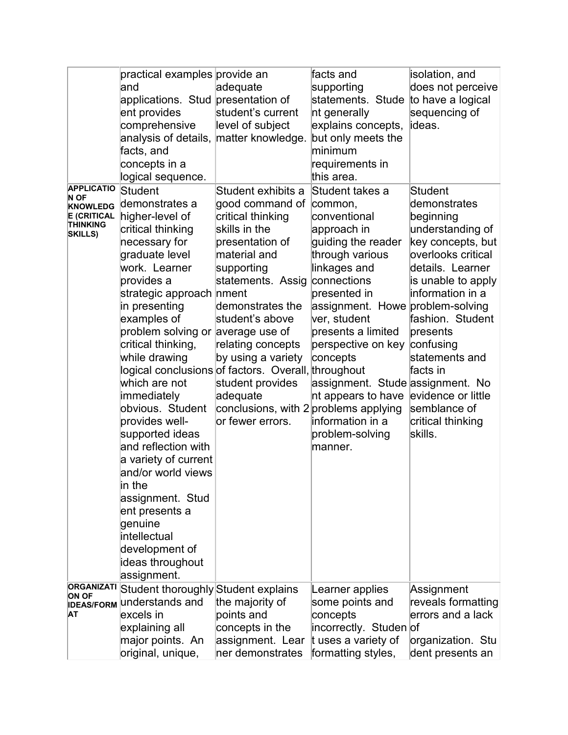|                                   | practical examples provide an          |                                                     | facts and                           | isolation, and     |
|-----------------------------------|----------------------------------------|-----------------------------------------------------|-------------------------------------|--------------------|
|                                   | land                                   | adequate                                            | supporting                          | does not perceive  |
|                                   | applications. Stud presentation of     |                                                     | statements. Stude to have a logical |                    |
|                                   | ent provides                           | student's current                                   | nt generally                        | sequencing of      |
|                                   | comprehensive                          | level of subject                                    | explains concepts,                  | ideas.             |
|                                   | analysis of details, matter knowledge. |                                                     | but only meets the                  |                    |
|                                   | facts, and                             |                                                     | minimum                             |                    |
|                                   | concepts in a                          |                                                     | requirements in                     |                    |
|                                   | logical sequence.                      |                                                     | this area.                          |                    |
| <b>APPLICATIO</b>                 | Student                                | Student exhibits a                                  | Student takes a                     | <b>Student</b>     |
| N OF<br><b>KNOWLEDG</b>           | demonstrates a                         | good command of                                     | common,                             | demonstrates       |
| <b>E (CRITICAL</b>                | higher-level of                        | critical thinking                                   | conventional                        | beginning          |
| <b>THINKING</b>                   | critical thinking                      | skills in the                                       | approach in                         | understanding of   |
| <b>SKILLS)</b>                    | necessary for                          | presentation of                                     | guiding the reader                  | key concepts, but  |
|                                   | graduate level                         | material and                                        | through various                     | overlooks critical |
|                                   | work. Learner                          | supporting                                          | linkages and                        | details. Learner   |
|                                   | provides a                             | statements. Assig                                   | connections                         | is unable to apply |
|                                   | strategic approach nment               |                                                     | presented in                        | information in a   |
|                                   | in presenting                          | demonstrates the                                    | assignment. Howe problem-solving    |                    |
|                                   | examples of                            | student's above                                     | ver, student                        | fashion. Student   |
|                                   | problem solving or average use of      |                                                     | presents a limited                  | presents           |
|                                   | critical thinking,                     | relating concepts                                   | perspective on key                  | confusing          |
|                                   | while drawing                          | by using a variety                                  | concepts                            | statements and     |
|                                   |                                        | logical conclusions of factors. Overall, throughout |                                     | lfacts in          |
|                                   | which are not                          | student provides                                    | assignment. Stude assignment. No    |                    |
|                                   | immediately                            | adequate                                            | nt appears to have                  | evidence or little |
|                                   | obvious. Student                       | conclusions, with $2$ problems applying             |                                     | semblance of       |
|                                   | provides well-                         | or fewer errors.                                    | information in a                    | critical thinking  |
|                                   | supported ideas                        |                                                     | problem-solving                     | skills.            |
|                                   | and reflection with                    |                                                     | manner.                             |                    |
|                                   | a variety of current                   |                                                     |                                     |                    |
|                                   | and/or world views                     |                                                     |                                     |                    |
|                                   | $\mathop{\sf in}\nolimits$ the         |                                                     |                                     |                    |
|                                   | assignment. Stud                       |                                                     |                                     |                    |
|                                   | ent presents a                         |                                                     |                                     |                    |
|                                   | genuine                                |                                                     |                                     |                    |
|                                   | intellectual                           |                                                     |                                     |                    |
|                                   | development of                         |                                                     |                                     |                    |
|                                   | ideas throughout                       |                                                     |                                     |                    |
|                                   | assignment.                            |                                                     |                                     |                    |
| ORGANIZATI                        | Student thoroughly Student explains    |                                                     | Learner applies                     | Assignment         |
| <b>ON OF</b><br><b>IDEAS/FORM</b> | understands and                        | the majority of                                     | some points and                     | reveals formatting |
| AT                                | excels in                              | points and                                          | concepts                            | errors and a lack  |
|                                   | explaining all                         | concepts in the                                     | incorrectly. Studen of              |                    |
|                                   | major points. An                       | assignment. Lear                                    | t uses a variety of                 | organization. Stu  |
|                                   | original, unique,                      | ner demonstrates                                    | formatting styles,                  | dent presents an   |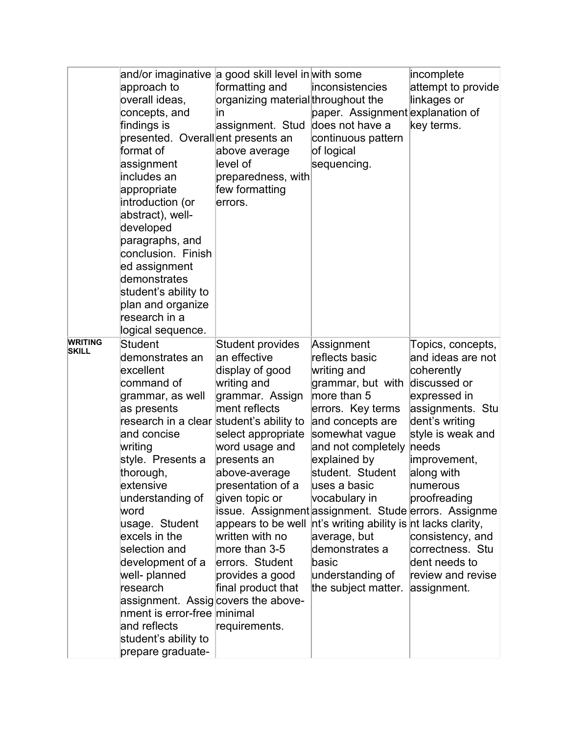|                                | approach to<br>overall ideas,<br>concepts, and<br>findings is<br>presented. Overallent presents an<br>format of<br>assignment<br>includes an<br>appropriate<br>introduction (or<br>abstract), well-<br>developed<br>paragraphs, and<br>conclusion. Finish<br>ed assignment<br>demonstrates<br>student's ability to<br>plan and organize<br>research in a<br>logical sequence.                                                                                                             | and/or imaginative a good skill level in with some<br>formatting and<br>organizing material throughout the<br>ın<br>assignment. Stud<br>above average<br>level of<br>preparedness, with<br>few formatting<br>errors.                                                                                                                                          | inconsistencies<br>paper. Assignment explanation of<br>does not have a<br>continuous pattern<br>of logical<br>sequencing.                                                                                                                                                                                                                                                                                                                   | incomplete<br>attempt to provide<br>linkages or<br>key terms.                                                                                                                                                                                                                                                   |
|--------------------------------|-------------------------------------------------------------------------------------------------------------------------------------------------------------------------------------------------------------------------------------------------------------------------------------------------------------------------------------------------------------------------------------------------------------------------------------------------------------------------------------------|---------------------------------------------------------------------------------------------------------------------------------------------------------------------------------------------------------------------------------------------------------------------------------------------------------------------------------------------------------------|---------------------------------------------------------------------------------------------------------------------------------------------------------------------------------------------------------------------------------------------------------------------------------------------------------------------------------------------------------------------------------------------------------------------------------------------|-----------------------------------------------------------------------------------------------------------------------------------------------------------------------------------------------------------------------------------------------------------------------------------------------------------------|
| <b>WRITING</b><br><b>SKILL</b> | <b>Student</b><br>demonstrates an<br>excellent<br>command of<br>grammar, as well<br>as presents<br>research in a clear student's ability to<br>and concise<br>writing<br>style. Presents a<br>thorough,<br>extensive<br>understanding of<br>lword<br>usage. Student<br>excels in the<br>selection and<br>development of a<br>well- planned<br>research<br>assignment. Assig covers the above-<br>nment is error-free minimal<br>and reflects<br>student's ability to<br>prepare graduate- | Student provides<br>lan effective<br>display of good<br>writing and<br>grammar. Assign<br>ment reflects<br>select appropriate<br>word usage and<br>presents an<br>above-average<br>presentation of a<br>given topic or<br>appears to be well<br>written with no<br>more than 3-5<br>errors. Student<br>provides a good<br>final product that<br>requirements. | Assignment<br>reflects basic<br>writing and<br>grammar, but with<br>more than 5<br>errors. Key terms<br>and concepts are<br>somewhat vague<br>and not completely<br>explained by<br>student. Student<br>uses a basic<br>vocabulary in<br>issue. Assignment assignment. Stude errors. Assignme<br>$\ln t$ 's writing ability is $\ln t$ lacks clarity,<br>average, but<br>demonstrates a<br>basic<br>understanding of<br>the subject matter. | Topics, concepts,<br>and ideas are not<br>coherently<br>discussed or<br>expressed in<br>assignments. Stu<br>dent's writing<br>style is weak and<br>needs<br>improvement,<br>along with<br>numerous<br>proofreading<br>consistency, and<br>correctness. Stu<br>dent needs to<br>review and revise<br>assignment. |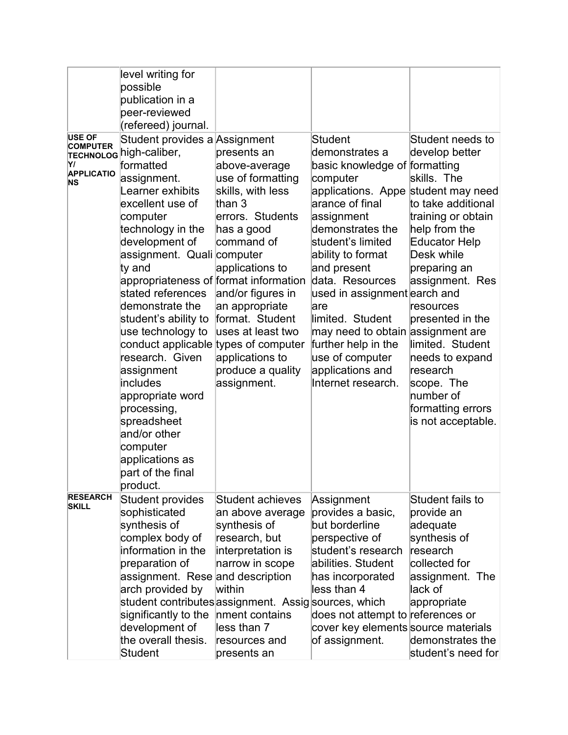|                                  | level writing for<br>possible<br>publication in a<br>peer-reviewed<br>(refereed) journal. |                                                      |                                                        |                                          |
|----------------------------------|-------------------------------------------------------------------------------------------|------------------------------------------------------|--------------------------------------------------------|------------------------------------------|
| <b>USE OF</b><br><b>COMPUTER</b> | Student provides a Assignment                                                             |                                                      | <b>Student</b>                                         | Student needs to                         |
|                                  | TECHNOLOG high-caliber,                                                                   | presents an                                          | demonstrates a                                         | develop better                           |
| YI<br><b>APPLICATIO</b>          | formatted                                                                                 | above-average                                        | basic knowledge of formatting                          |                                          |
| NS                               | assignment.                                                                               | use of formatting                                    | computer                                               | skills. The                              |
|                                  | Learner exhibits                                                                          | skills, with less                                    | applications. Appe student may need<br>arance of final |                                          |
|                                  | excellent use of                                                                          | than 3<br>errors. Students                           |                                                        | to take additional<br>training or obtain |
|                                  | computer<br>technology in the                                                             | has a good                                           | assignment<br>demonstrates the                         | help from the                            |
|                                  | development of                                                                            | command of                                           | student's limited                                      | <b>Educator Help</b>                     |
|                                  | assignment. Quali computer                                                                |                                                      | ability to format                                      | Desk while                               |
|                                  | ty and                                                                                    | applications to                                      | and present                                            | preparing an                             |
|                                  | appropriateness of format information                                                     |                                                      | data. Resources                                        | assignment. Res                          |
|                                  | stated references                                                                         | and/or figures in                                    | used in assignment earch and                           |                                          |
|                                  | demonstrate the                                                                           | an appropriate                                       | are                                                    | resources                                |
|                                  | student's ability to                                                                      | format. Student                                      | limited. Student                                       | presented in the                         |
|                                  | use technology to                                                                         | uses at least two                                    | may need to obtain assignment are                      |                                          |
|                                  | conduct applicable types of computer<br>research. Given                                   | applications to                                      | further help in the<br>use of computer                 | limited. Student                         |
|                                  | assignment                                                                                | produce a quality                                    | applications and                                       | needs to expand<br>research              |
|                                  | includes                                                                                  | assignment.                                          | Internet research.                                     | scope. The                               |
|                                  | appropriate word                                                                          |                                                      |                                                        | number of                                |
|                                  | processing,                                                                               |                                                      |                                                        | formatting errors                        |
|                                  | spreadsheet                                                                               |                                                      |                                                        | is not acceptable.                       |
|                                  | and/or other                                                                              |                                                      |                                                        |                                          |
|                                  | computer                                                                                  |                                                      |                                                        |                                          |
|                                  | applications as                                                                           |                                                      |                                                        |                                          |
|                                  | part of the final                                                                         |                                                      |                                                        |                                          |
| <b>RESEARCH</b>                  | product.                                                                                  |                                                      |                                                        |                                          |
| <b>SKILL</b>                     | <b>Student provides</b><br>sophisticated                                                  | Student achieves<br>an above average                 | Assignment<br>provides a basic,                        | Student fails to<br>provide an           |
|                                  | synthesis of                                                                              | synthesis of                                         | but borderline                                         | adequate                                 |
|                                  | complex body of                                                                           | research, but                                        | perspective of                                         | synthesis of                             |
|                                  | information in the                                                                        | interpretation is                                    | student's research                                     | research                                 |
|                                  | preparation of                                                                            | narrow in scope                                      | abilities. Student                                     | collected for                            |
|                                  | assignment. Rese and description                                                          |                                                      | has incorporated                                       | assignment. The                          |
|                                  | arch provided by                                                                          | within                                               | less than 4                                            | lack of                                  |
|                                  |                                                                                           | student contributes assignment. Assig sources, which |                                                        | appropriate                              |
|                                  | significantly to the                                                                      | nment contains                                       | does not attempt to references or                      |                                          |
|                                  | development of                                                                            | less than 7                                          | cover key elements source materials                    |                                          |
|                                  | the overall thesis.                                                                       | resources and                                        | of assignment.                                         | demonstrates the                         |
|                                  | Student                                                                                   | presents an                                          |                                                        | student's need for                       |